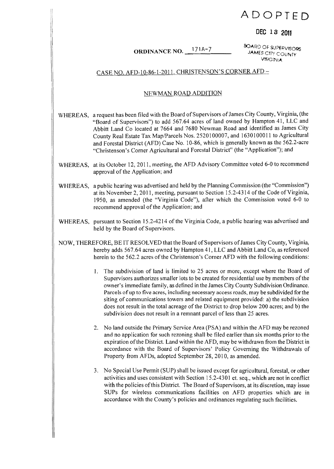# **ADOPTED**

## **DEC 13 2011**

ORDINANCE NO. 171A-7 <sup>80ARD</sup> OF SUPERVISORS ORDINANCE NO. 171A-7 VfRGihliA

### CASE NO. AFD-IO-86-1-2011. CHRISTENSON'S CORNER AFD

### NEWMAN ROAD ADDITION

- WHEREAS, a request has been filed with the Board of Supervisors of James City County, Virginia, (the "Board of Supervisors") to add 567.64 acres of land owned by Hampton 41, LLC and Abbitt Land Co located at 7664 and 7680 Newman Road and identified as James City County Real Estate Tax MaplParcels Nos. 2520100007, and 1630100011 to Agricultural and Forestal District (AFD) Case No.1 0-86, which is generally known as the 562.2-acre "Christenson's Corner Agricultural and Forestal District" (the "Application"); and
- WHEREAS, at its October 12, 2011, meeting, the AFD Advisory Committee voted 6-0 to recommend approval of the Application; and
- WHEREAS, a public hearing was advertised and held by the Planning Commission (the "Commission") at its November 2, 2011, meeting, pursuant to Section 15.2-4314 of the Code of Virginia, 1950, as amended (the "Virginia Code"), after which the Commission voted 6-0 to recommend approval of the Application; and
- WHEREAS, pursuant to Section 15.2-4214 of the Virginia Code, a public hearing was advertised and held by the Board of Supervisors.
- NOW, THEREFORE, BE IT RESOLVED that the Board of Supervisors of James City County, Virginia, hereby adds 567.64 acres owned by Hampton 41, LLC and Abbitt Land Co, as referenced herein to the 562.2 acres of the Christenson's Corner AFD with the following conditions:
	- 1. The subdivision of land is limited to 25 acres or more, except where the Board of Supervisors authorizes smaller lots to be created for residential use by members ofthe owner's immediate family, as defined in the James City County Subdivision Ordinance. Parcels of up to five acres, including necessary access roads, may be subdivided for the siting of communications towers and related equipment provided: a) the subdivision does not result in the total acreage of the District to drop below 200 acres; and b) the subdivision does not result in a remnant parcel of less than 25 acres.
	- 2. No land outside the Primary Service Area (PSA) and within the AFD may be rezoned and no application for such rezoning shall be filed earlier than six months prior to the expiration ofthe District. Land within the AFD, may be withdrawn from the District in accordance with the Board of Supervisors' Policy Governing the Withdrawals of Property from AFDs, adopted September 28, 2010, as amended.
	- 3. No Special Use Permit (SUP) shall be issued except for agricultural, forestal, or other activities and uses consistent with Section 15.2-430 I et. seq., which are not in conflict with the policies of this District. The Board of Supervisors, at its discretion, may issue SUPs for wireless communications facilities on AFD properties which are in accordance with the County's policies and ordinances regulating such facilities.